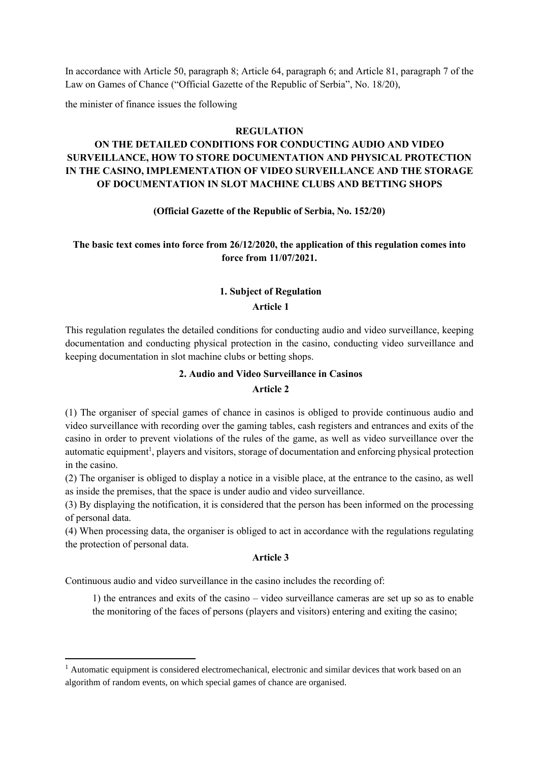In accordance with Article 50, paragraph 8; Article 64, paragraph 6; and Article 81, paragraph 7 of the Law on Games of Chance ("Official Gazette of the Republic of Serbia", No. 18/20),

the minister of finance issues the following

## **REGULATION**

# **ON THE DETAILED CONDITIONS FOR CONDUCTING AUDIO AND VIDEO SURVEILLANCE, HOW TO STORE DOCUMENTATION AND PHYSICAL PROTECTION IN THE CASINO, IMPLEMENTATION OF VIDEO SURVEILLANCE AND THE STORAGE OF DOCUMENTATION IN SLOT MACHINE CLUBS AND BETTING SHOPS**

#### **(Official Gazette of the Republic of Serbia, No. 152/20)**

**The basic text comes into force from 26/12/2020, the application of this regulation comes into force from 11/07/2021.**

# **1. Subject of Regulation Article 1**

This regulation regulates the detailed conditions for conducting audio and video surveillance, keeping documentation and conducting physical protection in the casino, conducting video surveillance and keeping documentation in slot machine clubs or betting shops.

## **2. Audio and Video Surveillance in Casinos**

## **Article 2**

(1) The organiser of special games of chance in casinos is obliged to provide continuous audio and video surveillance with recording over the gaming tables, cash registers and entrances and exits of the casino in order to prevent violations of the rules of the game, as well as video surveillance over the automatic equipment<sup>1</sup>, players and visitors, storage of documentation and enforcing physical protection in the casino.

(2) The organiser is obliged to display a notice in a visible place, at the entrance to the casino, as well as inside the premises, that the space is under audio and video surveillance.

(3) By displaying the notification, it is considered that the person has been informed on the processing of personal data.

(4) When processing data, the organiser is obliged to act in accordance with the regulations regulating the protection of personal data.

#### **Article 3**

Continuous audio and video surveillance in the casino includes the recording of:

1) the entrances and exits of the casino – video surveillance cameras are set up so as to enable the monitoring of the faces of persons (players and visitors) entering and exiting the casino;

 $<sup>1</sup>$  Automatic equipment is considered electromechanical, electronic and similar devices that work based on an</sup> algorithm of random events, on which special games of chance are organised.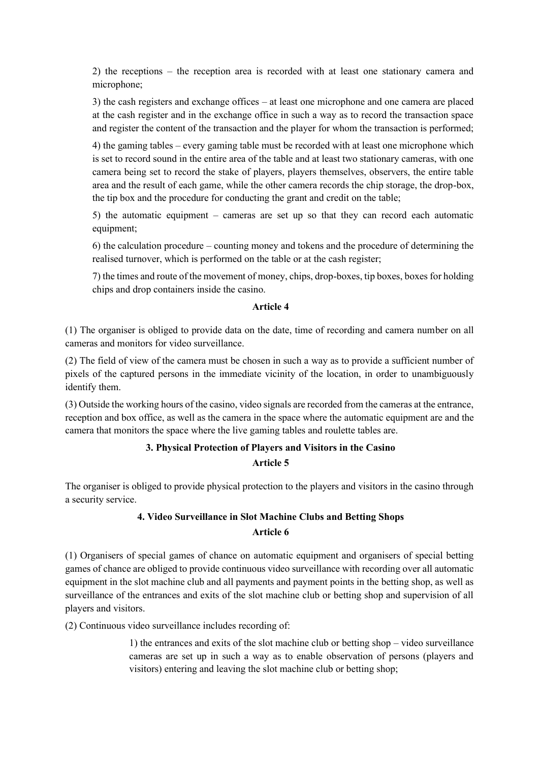2) the receptions – the reception area is recorded with at least one stationary camera and microphone;

3) the cash registers and exchange offices – at least one microphone and one camera are placed at the cash register and in the exchange office in such a way as to record the transaction space and register the content of the transaction and the player for whom the transaction is performed;

4) the gaming tables – every gaming table must be recorded with at least one microphone which is set to record sound in the entire area of the table and at least two stationary cameras, with one camera being set to record the stake of players, players themselves, observers, the entire table area and the result of each game, while the other camera records the chip storage, the drop-box, the tip box and the procedure for conducting the grant and credit on the table;

5) the automatic equipment – cameras are set up so that they can record each automatic equipment;

6) the calculation procedure – counting money and tokens and the procedure of determining the realised turnover, which is performed on the table or at the cash register;

7) the times and route of the movement of money, chips, drop-boxes, tip boxes, boxes for holding chips and drop containers inside the casino.

### **Article 4**

(1) The organiser is obliged to provide data on the date, time of recording and camera number on all cameras and monitors for video surveillance.

(2) The field of view of the camera must be chosen in such a way as to provide a sufficient number of pixels of the captured persons in the immediate vicinity of the location, in order to unambiguously identify them.

(3) Outside the working hours of the casino, video signals are recorded from the cameras at the entrance, reception and box office, as well as the camera in the space where the automatic equipment are and the camera that monitors the space where the live gaming tables and roulette tables are.

# **3. Physical Protection of Players and Visitors in the Casino Article 5**

The organiser is obliged to provide physical protection to the players and visitors in the casino through a security service.

# **4. Video Surveillance in Slot Machine Clubs and Betting Shops Article 6**

(1) Organisers of special games of chance on automatic equipment and organisers of special betting games of chance are obliged to provide continuous video surveillance with recording over all automatic equipment in the slot machine club and all payments and payment points in the betting shop, as well as surveillance of the entrances and exits of the slot machine club or betting shop and supervision of all players and visitors.

(2) Continuous video surveillance includes recording of:

1) the entrances and exits of the slot machine club or betting shop – video surveillance cameras are set up in such a way as to enable observation of persons (players and visitors) entering and leaving the slot machine club or betting shop;